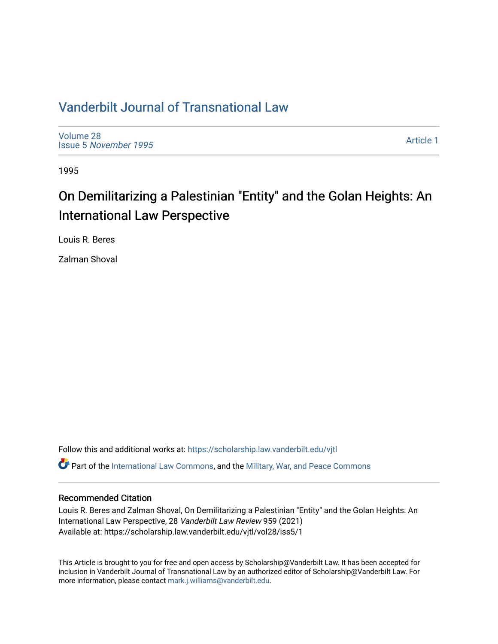## [Vanderbilt Journal of Transnational Law](https://scholarship.law.vanderbilt.edu/vjtl)

[Volume 28](https://scholarship.law.vanderbilt.edu/vjtl/vol28) Issue 5 [November 1995](https://scholarship.law.vanderbilt.edu/vjtl/vol28/iss5) 

[Article 1](https://scholarship.law.vanderbilt.edu/vjtl/vol28/iss5/1) 

1995

# On Demilitarizing a Palestinian "Entity" and the Golan Heights: An International Law Perspective

Louis R. Beres

Zalman Shoval

Follow this and additional works at: [https://scholarship.law.vanderbilt.edu/vjtl](https://scholarship.law.vanderbilt.edu/vjtl?utm_source=scholarship.law.vanderbilt.edu%2Fvjtl%2Fvol28%2Fiss5%2F1&utm_medium=PDF&utm_campaign=PDFCoverPages)  Part of the [International Law Commons,](http://network.bepress.com/hgg/discipline/609?utm_source=scholarship.law.vanderbilt.edu%2Fvjtl%2Fvol28%2Fiss5%2F1&utm_medium=PDF&utm_campaign=PDFCoverPages) and the [Military, War, and Peace Commons](http://network.bepress.com/hgg/discipline/861?utm_source=scholarship.law.vanderbilt.edu%2Fvjtl%2Fvol28%2Fiss5%2F1&utm_medium=PDF&utm_campaign=PDFCoverPages) 

### Recommended Citation

Louis R. Beres and Zalman Shoval, On Demilitarizing a Palestinian "Entity" and the Golan Heights: An International Law Perspective, 28 Vanderbilt Law Review 959 (2021) Available at: https://scholarship.law.vanderbilt.edu/vjtl/vol28/iss5/1

This Article is brought to you for free and open access by Scholarship@Vanderbilt Law. It has been accepted for inclusion in Vanderbilt Journal of Transnational Law by an authorized editor of Scholarship@Vanderbilt Law. For more information, please contact [mark.j.williams@vanderbilt.edu](mailto:mark.j.williams@vanderbilt.edu).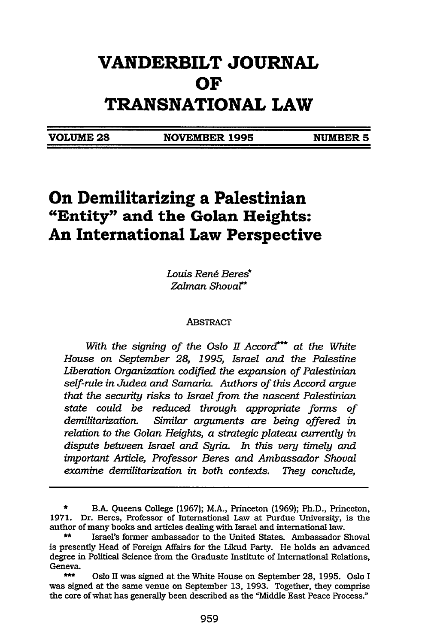## **VANDERBILT JOURNAL OF TRANSNATIONAL LAW**

**VOLUME 28 NOVEMBER 1995 NUMBER 5**

### **On Demilitarizing a Palestinian "Entity" and the Golan Heights: An International Law Perspective**

*Louis Rend Beres\* Zalman Shovar\**

#### ABSTRACT

With the signing of the Oslo II Accord\*\*\* at the White *House on September 28, 1995, Israel and the Palestine Liberation Organization codified the expansion of Palestinian self-rule in Judea and Samaria. Authors of this Accord argue that the security risks to Israel from the nascent Palestinian state could be reduced through appropriate forms of demilitarization. Similar arguments are being offered in relation to the Golan Heights, a strategic plateau currently in dispute between Israel and Syria. In this very timely and important Article, Professor Beres and Ambassador Shoval examine demilitarization in both contexts. They conclude,*

**<sup>\*</sup>** B.A. Queens College (1967); MA., Princeton (1969); Ph.D., Princeton, 1971. Dr. Beres, Professor of International Law at Purdue University, is the author of many books and articles dealing with Israel and international law.

**<sup>\*\*</sup>** Israel's former ambassador to the United States. Ambassador Shoval is presently Head of Foreign Affairs for the Likud Party. He holds an advanced degree in Political Science from the Graduate Institute of International Relations, Geneva.

**<sup>\*\*\*</sup>** Oslo II was signed at the White House on September 28, 1995. Oslo I was signed at the same venue on September 13, 1993. Together, they comprise the core of what has generally been described as the "Middle East Peace Process."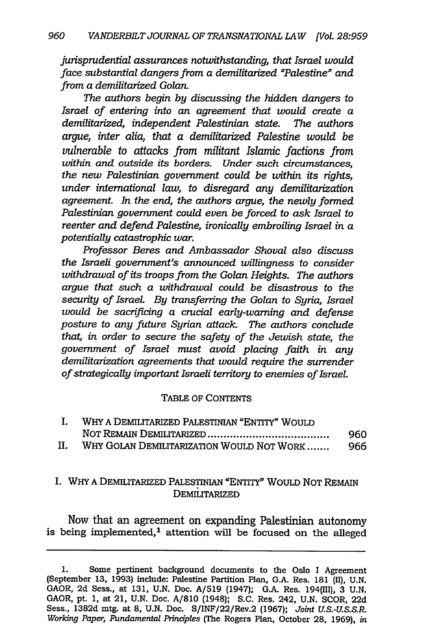*jurisprudential assurances notwithstanding, that Israel would face substantial dangers from a demilitarized "Palestine" and from a demilitarized Golan.*

*The authors begin by discussing the hidden dangers to Israel of entering into an agreement that would create a demilitarized, independent Palestinian state. The authors argue, inter alia, that a demilitarized Palestine would be vulnerable to attacks from militant Islamic factions from within and outside its borders. Under such circumstances, the new Palestinian government could be within its rights, under international law, to disregard any demilitarization agreement. In the end, the authors argue, the newly formed Palestinian government could even be forced to ask Israel to reenter and defend Palestine, ironically embroiling Israel in a potentially catastrophic war.*

*Professor Beres and Ambassador Shoval also discuss the Israeli government's announced willingness to consider withdrawal of its troops from the Golan Heights. The authors argue that such a withdrawal could be disastrous to the security of Israel. By transferring the Golan to Syria, Israel would be sacrificing a crucial early-warning and defense posture to any future Syrian attack. The authors conclude that, in order to secure the safety of the Jewish state, the government of Israel must avoid placing faith in any demilitarization agreements that would require the surrender of strategically important Israeli territory to enemies of Israel.*

#### TABLE OF CONTENTS

|    | WHY A DEMILITARIZED PALESTINIAN "ENTITY" WOULD |     |
|----|------------------------------------------------|-----|
|    |                                                | 960 |
| н. | WHY GOLAN DEMILITARIZATION WOULD NOT WORK      | 966 |

#### I. WHY A DEMILITARIZED PALESTINIAN "ENTITY" WOULD NOT REMAIN DEMILITARIZED

Now that an agreement on expanding Palestinian autonomy is being implemented,<sup>1</sup> attention will be focused on the alleged

<sup>1.</sup> Some pertinent background documents to the Oslo I Agreement (September **13,** 1993) include: Palestine Partition Plan, G.A. Res. 181 (II), U.N. GAOR, 2d Sess., at 131, U.N. Doc. A/519 (1947); G.A. Res. 194(111), 3 U.N. GAOR, pt. 1, at 21, U.N. Doc. A/810 (1948); S.C. Res. 242, U.N. SCOR, 22d Sess., 1382d mtg. at **8,** U.N. Doc. S/INF/22/Rev.2 (1967); *Joint U.S.-U.S.S.R. Working Paper, Fundamental Principles (The* Rogers Plan, October 28, 1969), *in*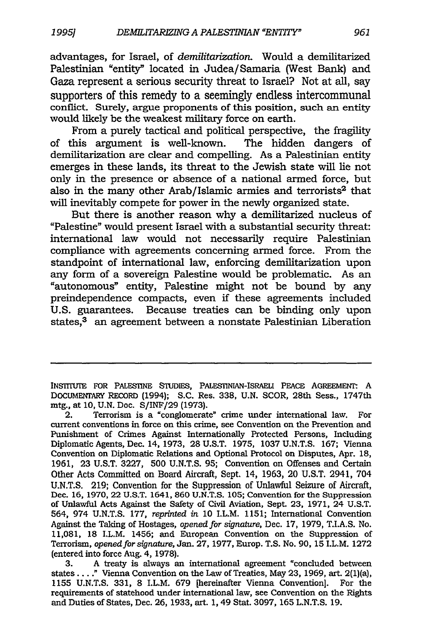advantages, for Israel, of *demilitarization.* Would a demilitarized Palestinian "entity" located in Judea/Samaria (West Bank) and Gaza represent a serious security threat to Israel? Not at all, say supporters of this remedy to a seemingly endless intercommunal conflict. Surely, argue proponents of this position, such an entity would likely be the weakest military force on earth.

From a purely tactical and political perspective, the fragility of this argument is well-known. The hidden dangers of demilitarization are clear and compelling. As a Palestinian entity emerges in these lands, its threat to the Jewish state will lie not only in the presence or absence of a national armed force, but also in the many other Arab/Islamic armies and terrorists<sup>2</sup> that will inevitably compete for power in the newly organized state.

But there is another reason why a demilitarized nucleus of "Palestine" would present Israel with a substantial security threat: international law would not necessarily require Palestinian compliance with agreements concerning armed force. From the standpoint of international law, enforcing demilitarization upon any form of a sovereign Palestine would be problematic. As an "autonomous" entity, Palestine might not be bound by any preindependence compacts, even if these agreements included U.S. guarantees. Because treaties can be binding only upon states,<sup>3</sup> an agreement between a nonstate Palestinian Liberation

INSTIUTE FOR PALESTINE STUDIES, PALESTINIAN-ISRAELI PEACE AGREEMENt. A DOCUMENTARY RECORD (1994); S.C. Res. 338, U.N. SCOR, 28th Sess., 1747th mtg., at 10, U.N. Doc. S/INF/29 (1973).

2. Terrorism is a "conglomerate" crime under international law. For current conventions in force on this crime, see Convention on the Prevention and Punishment of Crimes Against Internationally Protected Persons, Including Diplomatic Agents, Dec. 14, 1973, 28 U.S.T. 1975, 1037 U.N.T.S. 167; Vienna Convention on Diplomatic Relations and Optional Protocol on Disputes, Apr. **18,** 1961, 23 U.S.T. 3227, 500 U.N.T.S. 95; Convention on Offenses and Certain Other Acts Committed on Board Aircraft, Sept. 14, 1963, 20 U.S.T. 2941, 704 U.N.T.S. 219; Convention for the Suppression of Unlawful Seizure of Aircraft, Dec. **16,** 1970, 22 U.S.T. 1641, 860 U.N.T.S. 105; Convention for the Suppression of Unlawful Acts Against the Safety of Civil Aviation, Sept. **23,** 1971, 24 U.S.T. 564, 974 U.N.T.S. 177, *reprinted in* 10 I.L.M. 1151; International Convention Against the Taking of Hostages, *opened for signature,* Dec. 17, 1979, T.I.A.S. No. 11,081, 18 I.L.M. 1456; and European Convention on the Suppression of Terrorism, *opened for signature,* Jan. 27, 1977, Europ. T.S. No. 90, 15 I.L.M. 1272 (entered into force Aug. 4, 1978).

3. A treaty is always an international agreement "concluded between states...." Vienna Convention on the Law of Treaties, May **23,** 1969, art. 2(1)(a), 1155 U.N.T.S. 331, 8 I.L.M. 679 [hereinafter Vienna Convention]. For the requirements of statehood under international law, see Convention on the Rights and Duties of States, Dec. **26,** 1933, art. 1, 49 Stat. 3097, 165 L.N.T.S. 19.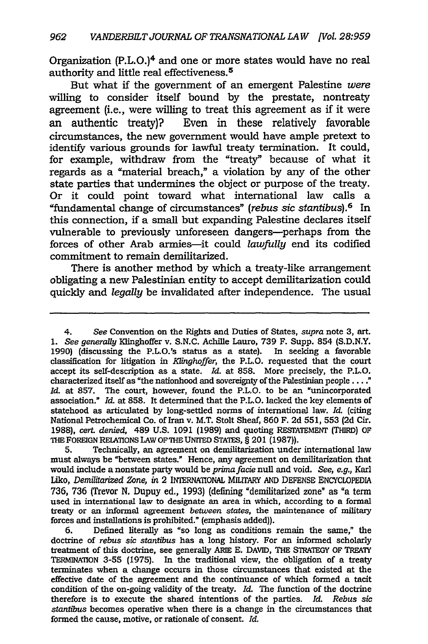Organization (P.L.O.)4 and one or more states would have no real authority and little real effectiveness. <sup>5</sup>

But what if the government of an emergent Palestine *were* willing to consider itself bound by the prestate, nontreaty agreement (i.e., were willing to treat this agreement as if it were an authentic treaty)? Even in these relatively favorable circumstances, the new government would have ample pretext to identify various grounds for lawful treaty termination. It could, for example, withdraw from the "treaty" because of what it regards as a "material breach," a violation by any of the other state parties that undermines the object or purpose of the treaty. Or it could point toward what international law calls a "fundamental change of circumstances" *(rebus sic stantibus).6* In this connection, if a small but expanding Palestine declares itself vulnerable to previously unforeseen dangers-perhaps from the forces of other Arab armies-it could *lawfully* end its codified commitment to remain demilitarized.

There is another method by which a treaty-like arrangement obligating a new Palestinian entity to accept demilitarization could quickly and *legally* be invalidated after independence. The usual

<sup>4.</sup> *See* Convention on the Rights and Duties of States, *supra* note **3,** art. *1. See generally* Klinghoffer v. S.N.C. Achille Lauro, 739 F. Supp. 854 (S.D.N.Y. 1990) (discussing the P.L.O.'s status as a state). In seeking a favorable classification for litigation in *Klinghoffer,* the P.L.O. requested that the court accept its self-description as a state. *Id.* at 858. More precisely, the P.L.O. characterized itself as "the nationhood and sovereignty of the Palestinian people .... " *Id.* at 857. The court, however, found the P.L.O. to be an "unincorporated association." *Id.* at 858. It determined that the P.L.O. lacked the key elements of statehood as articulated by long-settled norms of international law. *Id.* (citing National Petrochemical Co. of Iran v. M.T. Stolt Sheaf, 860 F. 2d 551, 553 (2d Cir. 1988), *cert. denied,* 489 **U.S.** 1091 **(1989)** and quoting RESrATEMENT (THIRD) **OF THE** FOREIGN RELATIONS LAW OFTHE UNITED **STATES,** § 201 (1987)).

<sup>5.</sup> Technically, an agreement on demilitarization under international law must always be "between states." Hence, any agreement on demilitarization that would include a nonstate party would be *primafade* null and void. *See, e.g.,* Karl Liko, *Demilitarized Zone, in* 2 INTERNAIONAL MILITARY AND DEFENSE ENCYCLOPEDIA 736, 736 (Trevor N. Dupuy ed., 1993) (defining "demilitarized zone" as "a term used in international law to designate an area in which, according to a formal treaty or an informal agreement *between states,* the maintenance of military forces and installations is prohibited." (emphasis added)).

<sup>6.</sup> Defined literally as "so long as conditions remain the same," the doctrine of *rebus sic stantibus* has a long history. For an informed scholarly treatment of this doctrine, see generally ARIE **E.** DAVID, THE STRATEGY OF TREATY TERMINATION 3-55 (1975). In the traditional view, the obligation of a treaty terminates when a change occurs in those circumstances that existed at the effective date of the agreement and the continuance of which formed a tacit condition of the on-going validity of the treaty. *Id.* The function of the doctrine therefore is to execute the shared intentions of the parties. *Id. Rebus sic stantibus* becomes operative when there is a change in the circumstances that formed the cause, motive, or rationale of consent. *Id.*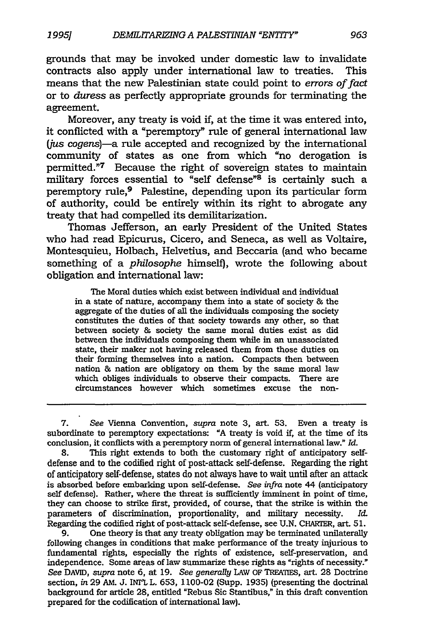grounds that may be invoked under domestic law to invalidate contracts also apply under international law to treaties. This means that the new Palestinian state could point to *errors of fact* or to *duress* as perfectly appropriate grounds for terminating the agreement.

Moreover, any treaty is void if, at the time it was entered into, it conflicted with a "peremptory" rule of general international law (jus cogens)-a rule accepted and recognized by the international community of states as one from which "no derogation is permitted."7 Because the right of sovereign states to maintain military forces essential to "self defense" $8$  is certainly such a peremptory rule,<sup>9</sup> Palestine, depending upon its particular form of authority, could be entirely within its right to abrogate any treaty that had compelled its demilitarization.

Thomas Jefferson, an early President of the United States who had read Epicurus, Cicero, and Seneca, as well as Voltaire, Montesquieu, Holbach, Helvetius, and Beccaria (and who became something of a *philosophe* himself), wrote the following about obligation and international law:

The Moral duties which exist between individual and individual in a state of nature, accompany them into a state of society & the aggregate of the duties of all the individuals composing the society constitutes the duties of that society towards any other, so that between society & society the same moral duties exist as did between the individuals composing them while in an unassociated state, their maker not having released them from those duties on their forming themselves into a nation. Compacts then between nation & nation are obligatory on them by the same moral law which obliges individuals to observe their compacts. There are circumstances however which sometimes excuse the non-

9. One theory is that any treaty obligation may be terminated unilaterally following changes in conditions that make performance of the treaty injurious to fundamental rights, especially the rights of existence, self-preservation, and independence. Some areas of law summarize these rights as "rights of necessity." *See* DAVID, *supra* note **6,** at 19. *See generally* LAW OF TREATES, art. 28 Doctrine section, *in* 29 **AM.** J. INTL L. 653, 1100-02 (Supp. 1935) (presenting the doctrinal background for article **28,** entitled "Rebus Sic Stantibus," in this draft convention prepared for the codification of international law).

<sup>7.</sup> *See* Vienna Convention, *supra* note *3,* art. 53. Even a treaty is subordinate to peremptory expectations: "A treaty is void **if,** at the time of its conclusion, it conflicts with a peremptory norm of general international law." *Id.*

<sup>8.</sup> This right extends to both the customary right of anticipatory selfdefense and to the codified right of post-attack self-defense. Regarding the right of anticipatory self-defense, states do not always have to wait until after an attack is absorbed before embarking upon self-defense. *See infra* note 44 (anticipatory self defense). Rather, where the threat is sufficiently imminent in point of time, they can choose to strike first, provided, of course, that the strike is within the parameters of discrimination, proportionality, and military necessity. *Id.* Regarding the codified right of post-attack self-defense, see U.N. CHARTER, art. 51.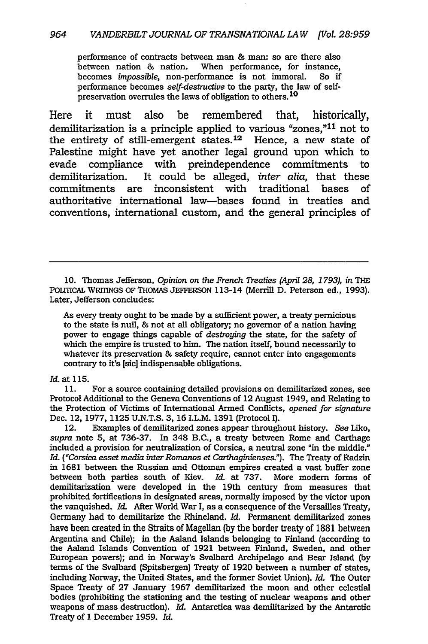performance of contracts between man **&** man: so are there also between nation & nation. When performance, for instance, becomes *impossible,* non-performance is not immoral. So if performance becomes *self-destructive* to the party, the law of selfpreservation overrules the laws of obligation to others. **<sup>10</sup>**

Here it must also be remembered that, historically, demilitarization is a principle applied to various "zones,"11 not to the entirety of still-emergent states.<sup>12</sup> Hence, a new state of Palestine might have yet another legal ground upon which to evade compliance with preindependence commitments to demilitarization. It could be alleged, *inter alia,* that these commitments are inconsistent with traditional bases of authoritative international law-bases found in treaties and conventions, international custom, and the general principles of

**10.** Thomas Jefferson, *Opinion on the French Treaties (April 28, 1793), in* THE POLrITCAL WRITINGS OF THOMAS JEFFERSON 113-14 (Merrill D. Peterson ed., 1993). Later, Jefferson concludes:

As every treaty ought to be made by a sufficient power, a treaty pernicious to the state is null, & not at all obligatory; no governor of a nation having power to engage things capable of *destroying* the state, for the safety of which the empire is trusted to him. The nation itself, bound necessarily to whatever its preservation & safety require, cannot enter into engagements contrary to it's [sic] indispensable obligations.

#### *Id.* at 115.

11. For a source containing detailed provisions on demilitarized zones, see Protocol Additional to the Geneva Conventions of 12 August 1949, and Relating to the Protection of Victims of International Armed Conflicts, *opened for signature* Dec. 12, 1977, 1125 U.N.T.S. 3, 16 I.L.M. 1391 (Protocol I).

12. Examples of demilitarized zones appear throughout history. *See* Liko, *supra* note 5, at 736-37. In 348 B.C., a treaty between Rome and Carthage included a provision for neutralization of Corsica, a neutral zone "in the middle." *Id. ("Corsica esset media inter Romanos et Carthaginienses.").* The Treaty of Radzin in 1681 between the Russian and Ottoman empires created a vast buffer zone between both parties south of Kiev. *Id.* at 737. More modem forms of demilitarization were developed in the 19th century from measures that prohibited fortifications in designated areas, normally imposed by the victor upon the vanquished. *Id.* After World War I, as a consequence of the Versailles Treaty, Germany had to demilitarize the Rhineland. *Id.* Permanent demilitarized zones have been created in the Straits of Magellan **(by** the border treaty of 1881 between Argentina and Chile); in the Aaland Islands belonging to Finland (according to the Aaland Islands Convention of 1921 between Finland, Sweden, and other European powers); and in Norway's Svalbard Archipelago and Bear Island (by terms of the Svalbard (Spitsbergen) Treaty of 1920 between a number of states, including Norway, the United States, and the former Soviet Union). *Id.* The Outer Space Treaty of 27 January 1967 demilitarized the moon and other celestial bodies (prohibiting the stationing and the testing of nuclear weapons and other weapons of mass destruction). *Id.* Antarctica was demilitarized by the Antarctic Treaty of 1 December 1959. *Id.*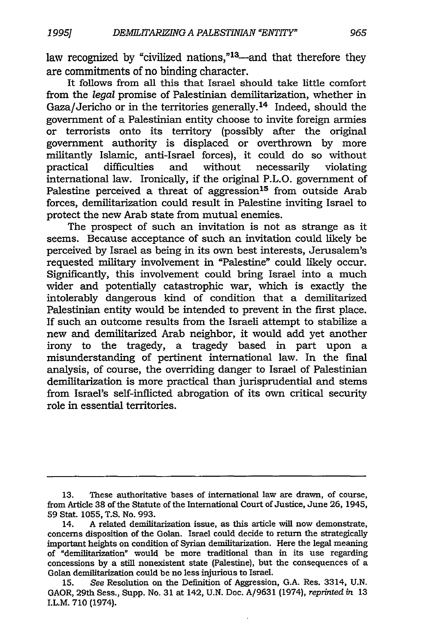law recognized by "civilized nations,"<sup>13</sup>—and that therefore they are commitments of no binding character.

It follows from all this that Israel should take little comfort from the *legal* promise of Palestinian demilitarization, whether in Gaza/Jericho or in the territories generally. 14 Indeed, should the government of a Palestinian entity choose to invite foreign armies or terrorists onto its territory (possibly after the original government authority is displaced or overthrown by more militantly Islamic, anti-Israel forces), it could do so without practical difficulties and without necessarily violating practical difficulties and without necessarily violating international law. Ironically, if the original P.L.O. government of Palestine perceived a threat of aggression<sup>15</sup> from outside Arab forces, demilitarization could result in Palestine inviting Israel to protect the new Arab state from mutual enemies.

The prospect of such an invitation is not as strange as it seems. Because acceptance of such an invitation could likely be perceived by Israel as being in its own best interests, Jerusalem's requested military involvement in "Palestine" could likely occur. Significantly, this involvement could bring Israel into a much wider and potentially catastrophic war, which is exactly the intolerably dangerous kind of condition that a demilitarized Palestinian entity would be intended to prevent in the first place. If such an outcome results from the Israeli attempt to stabilize a new and demilitarized Arab neighbor, it would add yet another irony to the tragedy, a tragedy based in part upon a misunderstanding of pertinent international law. In the final analysis, of course, the overriding danger to Israel of Palestinian demilitarization is more practical than jurisprudential and stems from Israel's self-inflicted abrogation of its own critical security role in essential territories.

<sup>13.</sup> These authoritative bases of international law are drawn, of course, from Article 38 of the Statute of the International Court of Justice, June 26, 1945, **59** Stat. 1055, T.S. No. 993.

<sup>14.</sup> A related demilitarization issue, as this article will now demonstrate, concerns disposition of the Golan. Israel could decide to return the strategically important heights on condition of Syrian demilitarization. Here the legal meaning of "demilitarization" would be more traditional than in its use regarding concessions by a still nonexistent state (Palestine), but the consequences of a Golan demilitarization could be no less injurious to Israel.

<sup>15.</sup> *See* Resolution on the Definition of Aggression, G.A. Res. 3314, U.N. GAOR, 29th Sess., Supp. No. 31 at 142, U.N. Doc. A/9631 (1974), *reprinted in* 13 I.L.M. 710 (1974).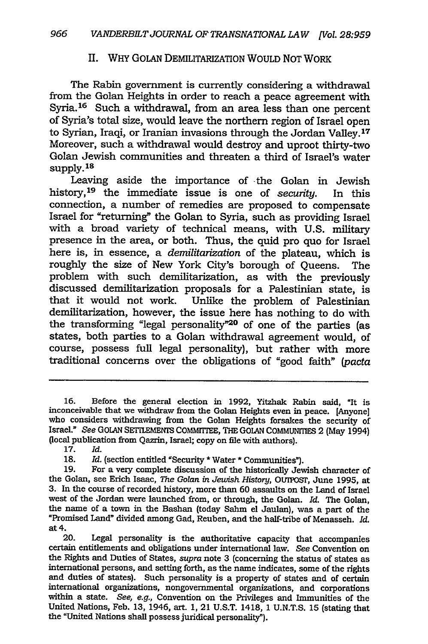### II. WHY GOLAN DEMILITARIZATION WOULD NOT WORK

The Rabin government is currently considering a withdrawal from the Golan Heights in order to reach a peace agreement with Syria.<sup>16</sup> Such a withdrawal, from an area less than one percent of Syria's total size, would leave the northern region of Israel open to Syrian, Iraqi, or Iranian invasions through the Jordan Valley. **<sup>17</sup>** Moreover, such a withdrawal would destroy and uproot thirty-two Golan Jewish communities and threaten a third of Israel's water **supply. 18**

Leaving aside the importance of the Golan in Jewish history, 19 the immediate issue is one of *security.* In this connection, a number of remedies are proposed to compensate Israel for "returning" the Golan to Syria, such as providing Israel with a broad variety of technical means, with **U.S.** military presence in the area, or both. Thus, the quid pro quo for Israel here is, in essence, a *demilitarization* of the plateau, which is roughly the size of New York City's borough of Queens. The problem with such demilitarization, as with the previously discussed demilitarization proposals for a Palestinian state, is that it would not work. Unlike the problem of Palestinian demilitarization, however, the issue here has nothing to do with the transforming "legal personality"<sup>20</sup> of one of the parties (as states, both parties to a Golan withdrawal agreement would, of course, possess full legal personality), but rather with more traditional concerns over the obligations of "good faith" *(pacta*

20. Legal personality is the authoritative capacity that accompanies certain entitlements and obligations under international law. See Convention on<br>the Rights and Duties of States, *supra* note 3 (concerning the status of states as<br>international persons, and setting forth, as the name indi and duties of states). Such personality is a property of states and of certain international organizations, nongovernmental organizations, and corporations within a state. *See, e.g.,* Convention on the Privileges and Immunities of the United Nations, Feb. **13,** 1946, art. **1,** 21 **U.S.T.** 1418, **1 U.N.T.S. 15** (stating that the "United Nations shall possess juridical personality").

**<sup>16.</sup>** Before the general election in **1992,** Yitzhak Rabin said, "It is inconceivable that we withdraw from the Golan Heights even in peace. [Anyone] who considers withdrawing from the Golan Heights forsakes the security of Israel." See GOLAN SETTLEMENTS COMMITTEE, THE GOLAN COMMUNITIES 2 (May 1994) (local publication from Qazrin, Israel; copy on file with authors).

**<sup>17.</sup>** *Id.*

**<sup>18.</sup>** *Id.* (section entitled "Security **\*** Water **\*** Communities").

**<sup>19.</sup>** For a very complete discussion of the historically Jewish character of the Golan, see Erich Isaac, *The Golan in Jewish History,* OUTPOS, June **1995,** at **3.** In the course of recorded history, more than **60** assaults on the Land of Israel west of the Jordan were launched from, or through, the Golan. *Id.* The Golan, the name of a town in the Bashan (today Sahm el Jaulan), was a part of the "Promised Land" divided among Gad, Reuben, and the half-tribe of Menasseh. *Id.* at 4.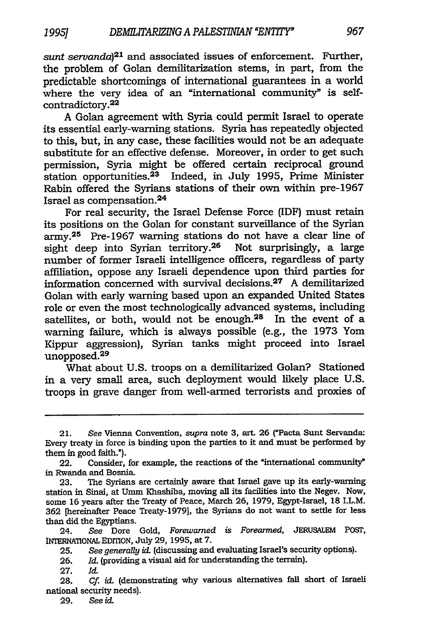*sunt servanda*<sup>21</sup> and associated issues of enforcement. Further, the problem of Golan demilitarization stems, in part, from the predictable shortcomings of international guarantees in a world where the very idea of an "international community" is selfcontradictory. <sup>22</sup>

A Golan agreement with Syria could permit Israel to operate its essential early-warning stations. Syria has repeatedly objected to this, but, in any case, these facilities would not be an adequate substitute for an effective defense. Moreover, in order to get such permission, Syria might be offered certain reciprocal ground station opportunities.<sup>23</sup> Indeed, in July 1995, Prime Minister Rabin offered the Syrians stations of their own within pre-1967 Israel as compensation.<sup>24</sup>

For real security, the Israel Defense Force (IDF) must retain its positions on the Golan for constant surveillance of the Syrian army.25 Pre-1967 warning stations do not have a clear line of sight deep into Syrian territory.<sup>26</sup> Not surprisingly, a large number of former Israeli intelligence officers, regardless of party affiliation, oppose any Israeli dependence upon third parties for information concerned with survival decisions.<sup>27</sup> A demilitarized Golan with early warning based upon an expanded United States role or even the most technologically advanced systems, including satellites, or both, would not be enough.<sup>28</sup> In the event of a warning failure, which is always possible (e.g., the 1973 Yom Kippur aggression), Syrian tanks might proceed into Israel unopposed.<sup>29</sup>

What about U.S. troops on a demilitarized Golan? Stationed in a very small area, such deployment would likely place U.S. troops in grave danger from well-armed terrorists and proxies of

<sup>21.</sup> *See* Vienna Convention, *supra* note **3,** art. 26 ("Pacta Sunt Servanda: Every treaty in force is binding upon the parties to it and must be performed by them in good faith.").

<sup>22.</sup> Consider, for example, the reactions of the "international community" in Rwanda and Bosnia.

<sup>23.</sup> The Syrians are certainly aware that Israel gave up its early-warning station in Sinai, at Umm Khashiba, moving all its facilities into the Negev. Now, some 16 years after the Treaty of Peace, March **26,** 1979, Egypt-Israel, 18 I.L.M. 362 [hereinafter Peace Treaty-1979], the Syrians do not want to settle for less than did the Egyptians.

<sup>24.</sup> *See* Dore Gold, *Forewarned is Forearmed,* JERUSALEM Posr, INTERNATIONAL EDITION, July 29, 1995, at 7.

<sup>25.</sup> See generally id. (discussing and evaluating Israel's security options).

<sup>26.</sup> *Id.* (providing a visual aid for understanding the terrain).

<sup>27.</sup> *Id.*

<sup>28.</sup> *Cf.* id. (demonstrating why various alternatives fall short of Israeli national security needs).

<sup>29.</sup> *See Uc.*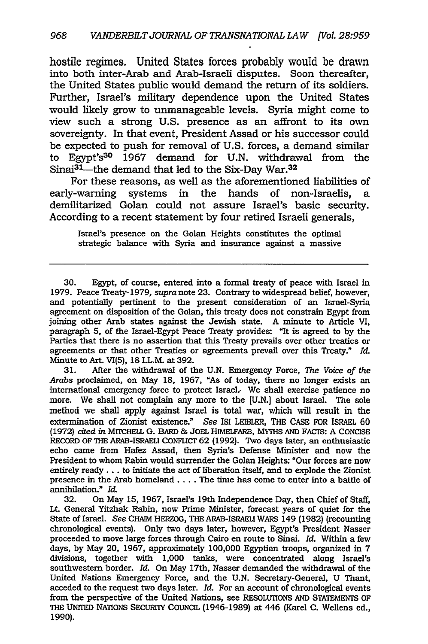hostile regimes. United States forces probably would be drawn into both inter-Arab and Arab-Israeli disputes. Soon thereafter, the United States public would demand the return of its soldiers. Further, Israel's military dependence upon the United States would likely grow to unmanageable levels. Syria might come to view such a strong U.S. presence as an affront to its own sovereignty. In that event, President Assad or his successor could be expected to push for removal of U.S. forces, a demand similar to Egypt's30 1967 demand for U.N. withdrawal from the Sinai<sup>31</sup>—the demand that led to the Six-Day War.<sup>32</sup>

For these reasons, as well as the aforementioned liabilities of early-warning systems in the hands of non-Israelis, a demilitarized Golan could not assure Israel's basic security. According to a recent statement by four retired Israeli generals,

Israel's presence on the Golan Heights constitutes the optimal strategic balance with Syria and insurance against a massive

31. After the withdrawal of the U.N. Emergency Force, *The Voice of the Arabs* proclaimed, on May 18, 1967, "As of today, there no longer exists an international emergency force to protect Israel. We shall exercise patience no more. We shall not complain any more to the [U.N.] about Israel. The sole method we shall apply against Israel is total war, which will result in the extermination of Zionist existence." *See* ISI LEIBLER, THE CASE FOR ISRAEL 60 (1972) *cited in* MITCHELL G. BARD & JOEL HIMELFARB, MYTHS AND FACTS: A CONCISE RECORD OF THE ARAB-ISRAELI CONFLICT 62 (1992). Two days later, an enthusiastic echo came from Hafez Assad, then Syria's Defense Minister and now the President to whom Rabin would surrender the Golan Heights: "Our forces are now entirely ready... to initiate the act of liberation itself, and to explode the Zionist presence in the Arab homeland .... The time has come to enter into a battle of annihilation." Id.

32. On May **15,** 1967, Israel's 19th Independence Day, then Chief of Staff, Lt General Yitzhak Rabin, now Prime Minister, forecast years of quiet for the State of Israel. *See* CHAIM HERZOG, THE ARAB-ISRAELI WARS 149 (1982) (recounting chronological events). Only two days later, however, Egypt's President Nasser proceeded to move large forces through Cairo en route to Sinai. *Id.* Within a few days, by May 20, 1967, approximately 100,000 Egyptian troops, organized in 7 divisions, together with 1,000 tanks, were concentrated along Israel's southwestern border. *Id.* On May 17th, Nasser demanded the withdrawal of the United Nations Emergency Force, and the U.N. Secretary-General, U Thant, acceded to the request two days later. *Id.* For an account of chronological events from the perspective of the United Nations, see RESOLUTIONS AND STATEMENTS OF THE UNITED NATIONS SECURrIY COUNCIL (1946-1989) at 446 (Karel C. Wellens ed., 1990).

<sup>30.</sup> Egypt, of course, entered into a formal treaty of peace with Israel in 1979. Peace Treaty-1979, supra note 23. Contrary to widespread belief, however, and potentially pertinent to the present consideration of an Israel-Syria agreement on disposition of the Golan, this treaty does not constrain Egypt from joining other Arab states against the Jewish state. A minute to Article VI, paragraph 5, of the Israel-Egypt Peace Treaty provides: "It is agreed to by the Parties that there is no assertion that this Treaty prevails over other treaties or agreements or that other Treaties or agreements prevail over this Treaty." *Id.* Minute to Art. VI(5), 18 I.L.M. at 392.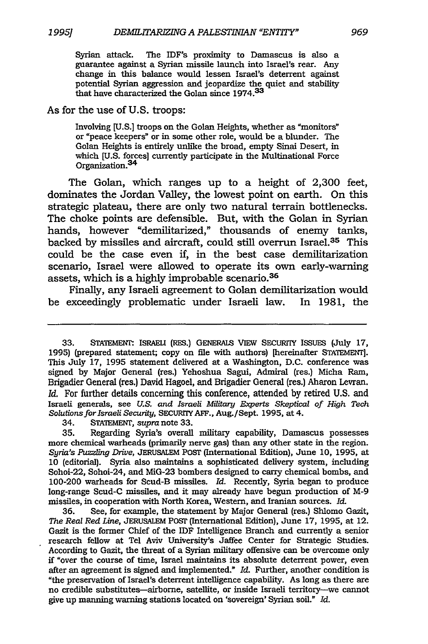Syrian attack. The IDF's proximity to Damascus is also a guarantee against a Syrian missile launch into Israel's rear. Any change in this balance would lessen Israel's deterrent against potential Syrian aggression and jeopardize the quiet and stability that have characterized the Golan since **<sup>1</sup> <sup>9</sup> <sup>7</sup> <sup>4</sup> .33**

#### As for the use of U.S. troops:

Involving [U.S.] troops on the Golan Heights, whether as "monitors" or "peace keepers" or in some other role, would be a blunder. The Golan Heights is entirely unlike the broad, empty Sinai Desert, in which [U.S. forces] currently participate in the Multinational Force Organization.3<sup>4</sup>

The Golan, which ranges up to a height of 2,300 feet, dominates the Jordan Valley, the lowest point on earth. On this strategic plateau, there are only two natural terrain bottlenecks. The choke points are defensible. But, with the Golan in Syrian hands, however "demilitarized," thousands of enemy tanks, backed by missiles and aircraft, could still overrun Israel.<sup>35</sup> This could be the case even if, in the best case demilitarization scenario, Israel were allowed to operate its own early-warning assets, which is a highly improbable scenario.<sup>36</sup>

Finally, any Israeli agreement to Golan demilitarization would be exceedingly problematic under Israeli law. In 1981, the

34. STAEMENT, *supra* note 33.

35. Regarding Syria's overall military capability, Damascus possesses more chemical warheads (primarily nerve gas) than any other state in the region. *Syria's Puzzling Drive,* **JERUSALEM** POSr (International Edition), June **10,** 1995, at 10 (editorial). Syria also maintains a sophisticated delivery system, including Sohoi-22, Sohoi-24, and MiG-23 bombers designed to carry chemical bombs, and 100-200 warheads for Scud-B missiles. *Id.* Recently, Syria began to produce long-range Scud-C missiles, and it may already have begun production of M-9 missiles, in cooperation with North Korea, Western, and Iranian sources. *Id.*

36. See, for example, the statement by Major General (res.) Shlomo Gazit, *The Real Red Line,* JERUSALEM PoSr (International Edition), June **17,** 1995, at 12. Gazit is the former Chief of the IDF Intelligence Branch and currently a senior research fellow at Tel Aviv University's Jaffee Center for Strategic Studies. According to Gazit, the threat of a Syrian military offensive can be overcome only **if** "over the course of time, Israel maintains its absolute deterrent power, even after an agreement is signed and implemented." *Id.* Further, another condition is "the preservation of Israel's deterrent intelligence capability. As long as there are no credible substitutes-airborne, satellite, or inside Israeli territory-we cannot give up manning warning stations located on 'sovereign' Syrian soil." *Id.*

<sup>33.</sup> STAIEMENr. ISRAELI (RES.) GENERALS VIEW SECURITY ISSUES (July **17,** 1995) (prepared statement; copy on file with authors) [hereinafter STATEMENT]. This July *17,* 1995 statement delivered at a Washington, D.C. conference was signed by Major General (res.) Yehoshua Sagui, Admiral (res.) Micha Ram, Brigadier General (res.) David Hagoel, and Brigadier General (res.) Aharon Levran. *Id.* For further details concerning this conference, attended by retired U.S. and Israeli generals, see *U.S. and Israeli Military Experts Skeptical of High Tech Solutions.for Israeli Security,* SECURrIY AFF., Aug./Sept. 1995, at 4.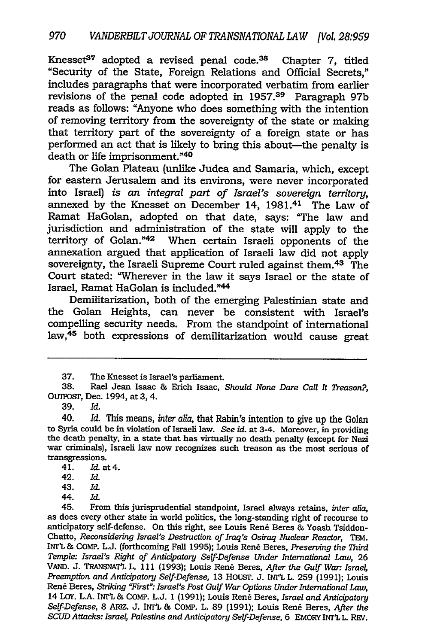Knesset $37$  adopted a revised penal code. $38$  Chapter 7, titled "Security of the State, Foreign Relations and Official Secrets," includes paragraphs that were incorporated verbatim from earlier revisions of the penal code adopted in 1957.39 Paragraph 97b reads as follows: "Anyone who does something with the intention of removing territory from the sovereignty of the state or making that territory part of the sovereignty of a foreign state or has performed an act that is likely to bring this about—the penalty is death or life imprisonment."4o

The Golan Plateau (unlike Judea and Samaria, which, except for eastern Jerusalem and its environs, were never incorporated into Israel) is *an integral part of Israel's sovereign territory,* annexed by the Knesset on December 14, 1981.<sup>41</sup> The Law of Ramat HaGolan, adopted on that date, says: "The law and jurisdiction and administration of the state will apply to the territory of Golan."42 When certain Israeli opponents of the annexation argued that application of Israeli law did not apply sovereignty, the Israeli Supreme Court ruled against them.<sup>43</sup> The Court stated: "Wherever in the law it says Israel or the state of Israel, Ramat HaGolan is included."44

Demilitarization, both of the emerging Palestinian state and the Golan Heights, can never be consistent with Israel's compelling security needs. From the standpoint of international law,<sup>45</sup> both expressions of demilitarization would cause great

39. *Id.*

41. Id. at 4.

- 43. *Id.*
- 44. *Id.*

45. From this jurisprudential standpoint, Israel always retains, *inter alia,* as does every other state in world politics, the long-standing right of recourse to anticipatory self-defense. On this right, see Louis Rene Beres **&** Yoash Tsiddon-Chatto, *Reconsidering Israel's Destruction of Iraq's Osiraq Nuclear Reactor,* TEM. INT'L **&** COMP. L.J. (forthcoming Fall 1995); Louis Rend Beres, *Preserving the Third Temple: Israel's Right of Anticipatory Self-Defense Under International Law,* **26** VAND. J. TRANSNATL L. 111 (1993); Louis Rene Beres, *After the Gulf War Israel, Preemption and Anticipatory Self-Defense,* 13 HOUSr. J. INI'L L. 259 (1991); Louis Rene Beres, *Striking 'First": Israel's Post Gulf War Options Under International Law,* 14 Loy. L.A. INT'L & COMP. L.J. 1 (1991); Louis Rene Beres, *Israel and Anticipatory Self-Defense,* 8 ARIZ. J. *INt* & COMP. L. 89 (1991); Louis Rene Beres, *After the SCUD Attacks: Israel, Palestine and Anticipatory Self-Defense, 6 EMORY INT'L L. REV.* 

**<sup>37.</sup>** The Knesset is Israel's parliament.

<sup>38.</sup> Rael Jean Isaac **&** Erich Isaac, *Should None Dare Call It Treason?,* OUnXST, Dec. 1994, at **3,** 4.

<sup>40.</sup> *Id.* This means, *inter aia,* that Rabin's intention to give up the Golan to Syria could be in violation of Israeli law. *See* id. at 3-4. Moreover, in providing the death penalty, in a state that has virtually no death penalty (except for Nazi war criminals), Israeli law now recognizes such treason as the most serious of transgressions.

<sup>42.</sup> *Id.*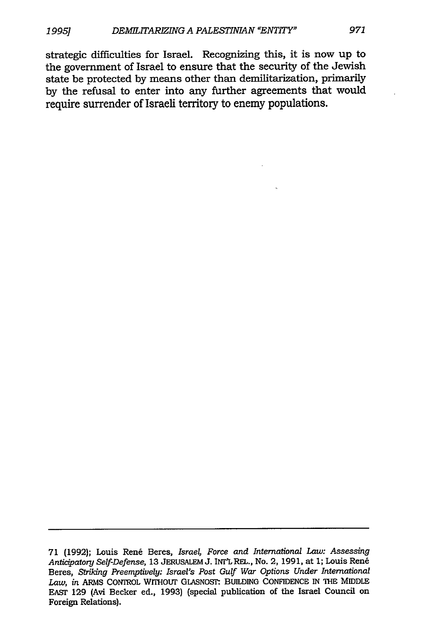strategic difficulties for Israel. Recognizing this, it is now up to the government of Israel to ensure that the security of the Jewish state be protected **by** means other than demilitarization, primarily **by** the refusal to enter into any further agreements that would require surrender of Israeli territory to enemy populations.

<sup>71 (1992);</sup> Louis Ren6 Beres, *Israel, Force and International Law: Assessing Anticipatory Self-Defense,* 13 JERUSALEM J. INT'LREL., No. 2, 1991, at 1; Louis Ren6 Beres, *Striking Preemptively: Israel's Post Gulf War Options Under International* Law, in ARMS CONIROL WITHOUT GLASNOST: BUILDING CONFIDENCE IN THE MIDDLE EAST 129 (Avi Becker ed., 1993) (special publication of the Israel Council on Foreign Relations).